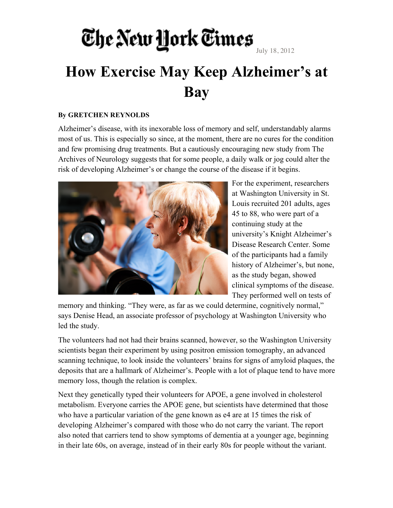## The New York Times  $\mathbf{g}_{\text{Julv 18. 2012}}$

## **How Exercise May Keep Alzheimer's at Bay**

## **By GRETCHEN REYNOLDS**

Alzheimer's disease, with its inexorable loss of memory and self, understandably alarms most of us. This is especially so since, at the moment, there are no cures for the condition and few promising drug treatments. But a cautiously encouraging new study from The Archives of Neurology suggests that for some people, a daily walk or jog could alter the risk of developing Alzheimer's or change the course of the disease if it begins.



For the experiment, researchers at Washington University in St. Louis recruited 201 adults, ages 45 to 88, who were part of a continuing study at the university's Knight Alzheimer's Disease Research Center. Some of the participants had a family history of Alzheimer's, but none, as the study began, showed clinical symptoms of the disease. They performed well on tests of

memory and thinking. "They were, as far as we could determine, cognitively normal," says Denise Head, an associate professor of psychology at Washington University who led the study.

The volunteers had not had their brains scanned, however, so the Washington University scientists began their experiment by using positron emission tomography, an advanced scanning technique, to look inside the volunteers' brains for signs of amyloid plaques, the deposits that are a hallmark of Alzheimer's. People with a lot of plaque tend to have more memory loss, though the relation is complex.

Next they genetically typed their volunteers for APOE, a gene involved in cholesterol metabolism. Everyone carries the APOE gene, but scientists have determined that those who have a particular variation of the gene known as e4 are at 15 times the risk of developing Alzheimer's compared with those who do not carry the variant. The report also noted that carriers tend to show symptoms of dementia at a younger age, beginning in their late 60s, on average, instead of in their early 80s for people without the variant.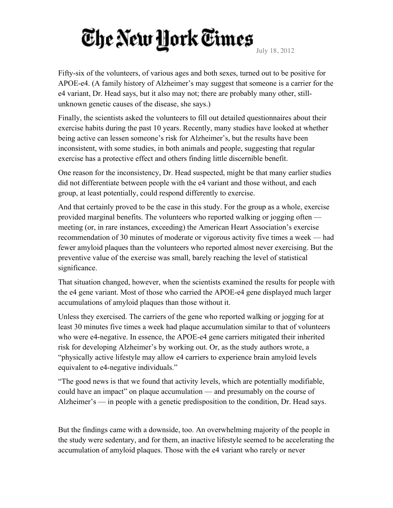

July 18, 2012

Fifty-six of the volunteers, of various ages and both sexes, turned out to be positive for APOE-e4. (A family history of Alzheimer's may suggest that someone is a carrier for the e4 variant, Dr. Head says, but it also may not; there are probably many other, stillunknown genetic causes of the disease, she says.)

Finally, the scientists asked the volunteers to fill out detailed questionnaires about their exercise habits during the past 10 years. Recently, many studies have looked at whether being active can lessen someone's risk for Alzheimer's, but the results have been inconsistent, with some studies, in both animals and people, suggesting that regular exercise has a protective effect and others finding little discernible benefit.

One reason for the inconsistency, Dr. Head suspected, might be that many earlier studies did not differentiate between people with the e4 variant and those without, and each group, at least potentially, could respond differently to exercise.

And that certainly proved to be the case in this study. For the group as a whole, exercise provided marginal benefits. The volunteers who reported walking or jogging often meeting (or, in rare instances, exceeding) the American Heart Association's exercise recommendation of 30 minutes of moderate or vigorous activity five times a week — had fewer amyloid plaques than the volunteers who reported almost never exercising. But the preventive value of the exercise was small, barely reaching the level of statistical significance.

That situation changed, however, when the scientists examined the results for people with the e4 gene variant. Most of those who carried the APOE-e4 gene displayed much larger accumulations of amyloid plaques than those without it.

Unless they exercised. The carriers of the gene who reported walking or jogging for at least 30 minutes five times a week had plaque accumulation similar to that of volunteers who were e4-negative. In essence, the APOE-e4 gene carriers mitigated their inherited risk for developing Alzheimer's by working out. Or, as the study authors wrote, a "physically active lifestyle may allow e4 carriers to experience brain amyloid levels equivalent to e4-negative individuals."

"The good news is that we found that activity levels, which are potentially modifiable, could have an impact" on plaque accumulation — and presumably on the course of Alzheimer's — in people with a genetic predisposition to the condition, Dr. Head says.

But the findings came with a downside, too. An overwhelming majority of the people in the study were sedentary, and for them, an inactive lifestyle seemed to be accelerating the accumulation of amyloid plaques. Those with the e4 variant who rarely or never